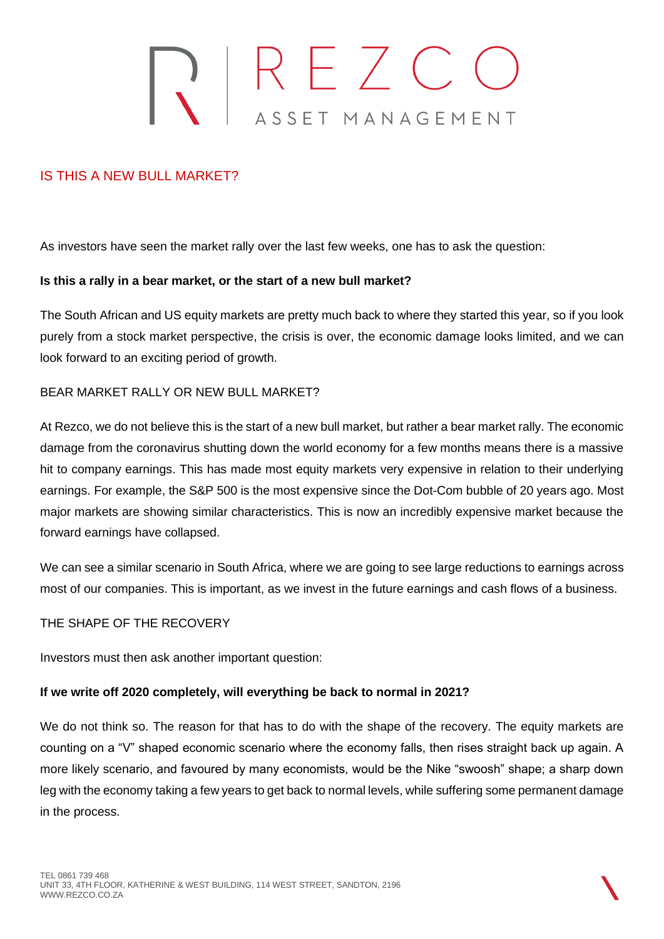# REZCO<br>ASSET MANAGEMENT

# IS THIS A NEW BULL MARKET?

As investors have seen the market rally over the last few weeks, one has to ask the question:

### **Is this a rally in a bear market, or the start of a new bull market?**

The South African and US equity markets are pretty much back to where they started this year, so if you look purely from a stock market perspective, the crisis is over, the economic damage looks limited, and we can look forward to an exciting period of growth.

## BEAR MARKET RALLY OR NEW BULL MARKET?

At Rezco, we do not believe this is the start of a new bull market, but rather a bear market rally. The economic damage from the coronavirus shutting down the world economy for a few months means there is a massive hit to company earnings. This has made most equity markets very expensive in relation to their underlying earnings. For example, the S&P 500 is the most expensive since the Dot-Com bubble of 20 years ago. Most major markets are showing similar characteristics. This is now an incredibly expensive market because the forward earnings have collapsed.

We can see a similar scenario in South Africa, where we are going to see large reductions to earnings across most of our companies. This is important, as we invest in the future earnings and cash flows of a business.

# THE SHAPE OF THE RECOVERY

Investors must then ask another important question:

# **If we write off 2020 completely, will everything be back to normal in 2021?**

We do not think so. The reason for that has to do with the shape of the recovery. The equity markets are counting on a "V" shaped economic scenario where the economy falls, then rises straight back up again. A more likely scenario, and favoured by many economists, would be the Nike "swoosh" shape; a sharp down leg with the economy taking a few years to get back to normal levels, while suffering some permanent damage in the process.